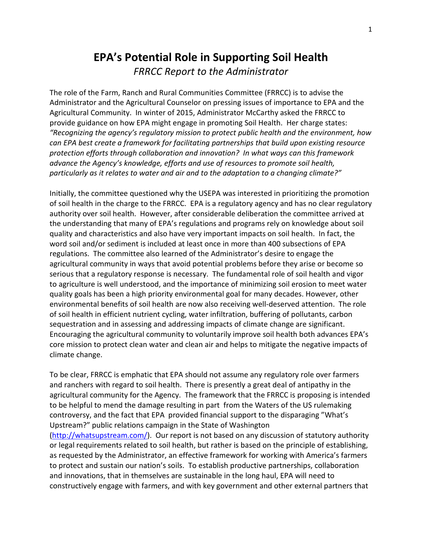# **EPA's Potential Role in Supporting Soil Health** *FRRCC Report to the Administrator*

The role of the Farm, Ranch and Rural Communities Committee (FRRCC) is to advise the Administrator and the Agricultural Counselor on pressing issues of importance to EPA and the Agricultural Community. In winter of 2015, Administrator McCarthy asked the FRRCC to provide guidance on how EPA might engage in promoting Soil Health. Her charge states: *"Recognizing the agency's regulatory mission to protect public health and the environment, how can EPA best create a framework for facilitating partnerships that build upon existing resource protection efforts through collaboration and innovation? In what ways can this framework advance the Agency's knowledge, efforts and use of resources to promote soil health, particularly as it relates to water and air and to the adaptation to a changing climate?"*

Initially, the committee questioned why the USEPA was interested in prioritizing the promotion of soil health in the charge to the FRRCC. EPA is a regulatory agency and has no clear regulatory authority over soil health. However, after considerable deliberation the committee arrived at the understanding that many of EPA's regulations and programs rely on knowledge about soil quality and characteristics and also have very important impacts on soil health. In fact, the word soil and/or sediment is included at least once in more than 400 subsections of EPA regulations. The committee also learned of the Administrator's desire to engage the agricultural community in ways that avoid potential problems before they arise or become so serious that a regulatory response is necessary. The fundamental role of soil health and vigor to agriculture is well understood, and the importance of minimizing soil erosion to meet water quality goals has been a high priority environmental goal for many decades. However, other environmental benefits of soil health are now also receiving well-deserved attention. The role of soil health in efficient nutrient cycling, water infiltration, buffering of pollutants, carbon sequestration and in assessing and addressing impacts of climate change are significant. Encouraging the agricultural community to voluntarily improve soil health both advances EPA's core mission to protect clean water and clean air and helps to mitigate the negative impacts of climate change.

To be clear, FRRCC is emphatic that EPA should not assume any regulatory role over farmers and ranchers with regard to soil health. There is presently a great deal of antipathy in the agricultural community for the Agency. The framework that the FRRCC is proposing is intended to be helpful to mend the damage resulting in part from the Waters of the US rulemaking controversy, and the fact that EPA provided financial support to the disparaging "What's Upstream?" public relations campaign in the State of Washington [\(http://whatsupstream.com/\)](http://whatsupstream.com/). Our report is not based on any discussion of statutory authority or legal requirements related to soil health, but rather is based on the principle of establishing, as requested by the Administrator, an effective framework for working with America's farmers to protect and sustain our nation's soils. To establish productive partnerships, collaboration and innovations, that in themselves are sustainable in the long haul, EPA will need to constructively engage with farmers, and with key government and other external partners that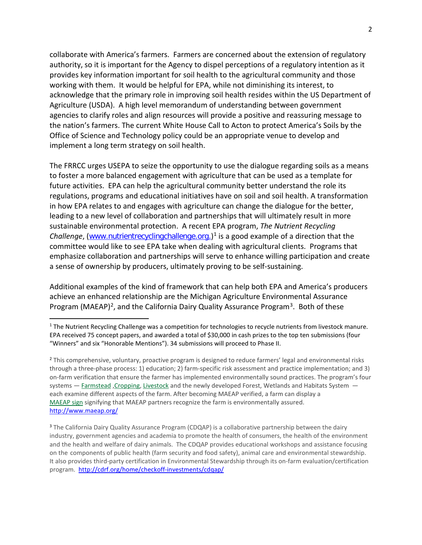collaborate with America's farmers. Farmers are concerned about the extension of regulatory authority, so it is important for the Agency to dispel perceptions of a regulatory intention as it provides key information important for soil health to the agricultural community and those working with them. It would be helpful for EPA, while not diminishing its interest, to acknowledge that the primary role in improving soil health resides within the US Department of Agriculture (USDA). A high level memorandum of understanding between government agencies to clarify roles and align resources will provide a positive and reassuring message to the nation's farmers. The current White House Call to Acton to protect America's Soils by the Office of Science and Technology policy could be an appropriate venue to develop and implement a long term strategy on soil health.

The FRRCC urges USEPA to seize the opportunity to use the dialogue regarding soils as a means to foster a more balanced engagement with agriculture that can be used as a template for future activities. EPA can help the agricultural community better understand the role its regulations, programs and educational initiatives have on soil and soil health. A transformation in how EPA relates to and engages with agriculture can change the dialogue for the better, leading to a new level of collaboration and partnerships that will ultimately result in more sustainable environmental protection. A recent EPA program, *The Nutrient Recycling Challenge*, ([www.nutrientrecyclingchallenge.org.](https://www.challenge.gov/challenge/nutrient-recycling-challenge/))<sup>[1](#page-1-0)</sup> is a good example of a direction that the committee would like to see EPA take when dealing with agricultural clients. Programs that emphasize collaboration and partnerships will serve to enhance willing participation and create a sense of ownership by producers, ultimately proving to be self-sustaining.

Additional examples of the kind of framework that can help both EPA and America's producers achieve an enhanced relationship are the Michigan Agriculture Environmental Assurance Program (MAEAP)<sup>2</sup>, and the California Dairy Quality Assurance Program<sup>3</sup>. Both of these

<span id="page-1-0"></span> $1$  The Nutrient Recycling Challenge was a competition for technologies to recycle nutrients from livestock manure. EPA received 75 concept papers, and awarded a total of \$30,000 in cash prizes to the top ten submissions (four "Winners" and six "Honorable Mentions"). 34 submissions will proceed to Phase II.

<span id="page-1-1"></span><sup>&</sup>lt;sup>2</sup> This comprehensive, voluntary, proactive program is designed to reduce farmers' legal and environmental risks through a three-phase process: 1) education; 2) farm-specific risk assessment and practice implementation; and 3) on-farm verification that ensure the farmer has implemented environmentally sound practices. The program's four systems - [Farmstead](http://www.maeap.org/get_verified/farmstead_system/) , Cropping, [Livestock](http://www.maeap.org/get_verified/livestock_system/) and the newly developed Forest, Wetlands and Habitats System each examine different aspects of the farm. After becoming MAEAP verified, a farm can display a [MAEAP](http://www.maeap.org/get_verified/verification_pays/) sign signifying that MAEAP partners recognize the farm is environmentally assured. <http://www.maeap.org/>

<span id="page-1-2"></span><sup>&</sup>lt;sup>3</sup> The California Dairy Quality Assurance Program (CDQAP) is a collaborative partnership between the dairy industry, government agencies and academia to promote the health of consumers, the health of the environment and the health and welfare of dairy animals. The CDQAP provides educational workshops and assistance focusing on the components of public health (farm security and food safety), animal care and environmental stewardship. It also provides third-party certification in Environmental Stewardship through its on-farm evaluation/certification program. <http://cdrf.org/home/checkoff-investments/cdqap/>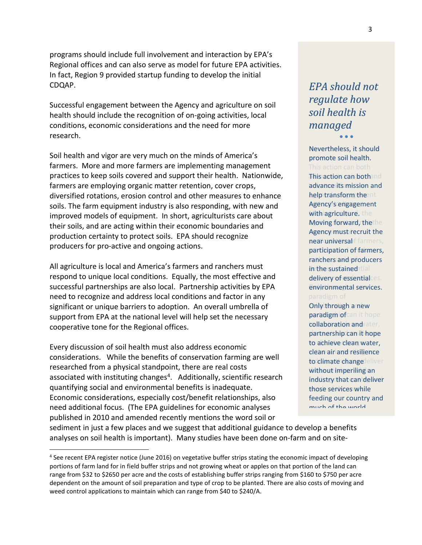programs should include full involvement and interaction by EPA's Regional offices and can also serve as model for future EPA activities. In fact, Region 9 provided startup funding to develop the initial CDQAP.

Successful engagement between the Agency and agriculture on soil health should include the recognition of on-going activities, local conditions, economic considerations and the need for more research.

Soil health and vigor are very much on the minds of America's farmers. More and more farmers are implementing management practices to keep soils covered and support their health. Nationwide, farmers are employing organic matter retention, cover crops, diversified rotations, erosion control and other measures to enhance soils. The farm equipment industry is also responding, with new and improved models of equipment. In short, agriculturists care about their soils, and are acting within their economic boundaries and production certainty to protect soils. EPA should recognize producers for pro-active and ongoing actions.

All agriculture is local and America's farmers and ranchers must respond to unique local conditions. Equally, the most effective and successful partnerships are also local. Partnership activities by EPA need to recognize and address local conditions and factor in any significant or unique barriers to adoption. An overall umbrella of support from EPA at the national level will help set the necessary cooperative tone for the Regional offices.

Every discussion of soil health must also address economic considerations. While the benefits of conservation farming are well researched from a physical standpoint, there are real costs associated with instituting changes<sup>[4](#page-2-0)</sup>. Additionally, scientific research quantifying social and environmental benefits is inadequate. Economic considerations, especially cost/benefit relationships, also need additional focus. (The EPA guidelines for economic analyses published in 2010 and amended recently mentions the word soil or

*EPA should not should not how regulate how soil health is soil healthis managedmanaged*• • • • • •

Nevertheless, it should promote soil health. This action can bothand advance its mission and help transform the nt Agency's engagement with agriculture, the Moving forward, thethe Agency must recruit the promote soil health.<br>This action can both<br>This <mark>action can both</mark>a

near universal farmers, participation of farmers, ranchers and producers in the sustained tial delivery of essentialces. environmental services.

Only through a new paradigm of can it hope collaboration and vater, partnership can it hope to achieve clean water, clean air and resilience to climate changedeliver without imperiling an industry that can deliver those services while feeding our country and much of the world

sediment in just a few places and we suggest that additional guidance to develop a benefits analyses on soil health is important). Many studies have been done on-farm and on site-

<span id="page-2-0"></span> <sup>4</sup> See recent EPA register notice (June 2016) on vegetative buffer strips stating the economic impact of developing portions of farm land for in field buffer strips and not growing wheat or apples on that portion of the land can range from \$32 to \$2650 per acre and the costs of establishing buffer strips ranging from \$160 to \$750 per acre dependent on the amount of soil preparation and type of crop to be planted. There are also costs of moving and weed control applications to maintain which can range from \$40 to \$240/A.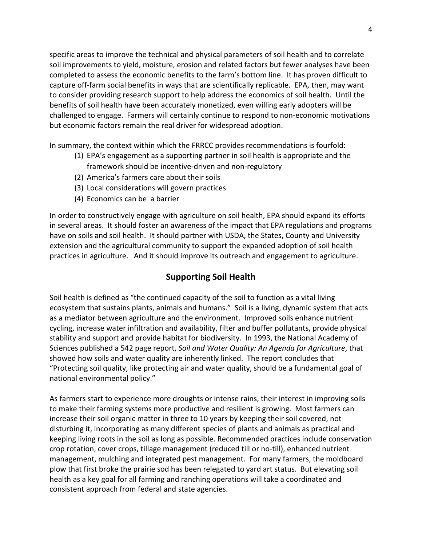specific areas to improve the technical and physical parameters of soil health and to correlate soil improvements to yield, moisture, erosion and related factors but fewer analyses have been completed to assess the economic benefits to the farm's bottom line. It has proven difficult to capture off-farm social benefits in ways that are scientifically replicable. EPA, then, may want to consider providing research support to help address the economics of soil health. Until the benefits of soil health have been accurately monetized, even willing early adopters will be challenged to engage. Farmers will certainly continue to respond to non-economic motivations but economic factors remain the real driver for widespread adoption.

In summary, the context within which the FRRCC provides recommendations is fourfold:

- (1) EPA's engagement as a supporting partner in soil health is appropriate and the framework should be incentive-driven and non-regulatory
- (2) America's farmers care about their soils
- (3) Local considerations will govern practices
- (4) Economics can be a barrier

In order to constructively engage with agriculture on soil health, EPA should expand its efforts in several areas. It should foster an awareness of the impact that EPA regulations and programs have on soils and soil health. It should partner with USDA, the States, County and University extension and the agricultural community to support the expanded adoption of soil health practices in agriculture. And it should improve its outreach and engagement to agriculture.

### **Supporting Soil Health**

Soil health is defined as "the continued capacity of the soil to function as a vital living ecosystem that sustains plants, animals and humans." Soil is a living, dynamic system that acts as a mediator between agriculture and the environment. Improved soils enhance nutrient cycling, increase water infiltration and availability, filter and buffer pollutants, provide physical stability and support and provide habitat for biodiversity. In 1993, the National Academy of Sciences published a 542 page report, *Soil and Water Quality: An Agenda for Agriculture*, that showed how soils and water quality are inherently linked. The report concludes that "Protecting soil quality, like protecting air and water quality, should be a fundamental goal of national environmental policy."

As farmers start to experience more droughts or intense rains, their interest in improving soils to make their farming systems more productive and resilient is growing. Most farmers can increase their soil organic matter in three to 10 years by keeping their soil covered, not disturbing it, incorporating as many different species of plants and animals as practical and keeping living roots in the soil as long as possible. Recommended practices include conservation crop rotation, cover crops, tillage management (reduced till or no-till), enhanced nutrient management, mulching and integrated pest management. For many farmers, the moldboard plow that first broke the prairie sod has been relegated to yard art status. But elevating soil health as a key goal for all farming and ranching operations will take a coordinated and consistent approach from federal and state agencies.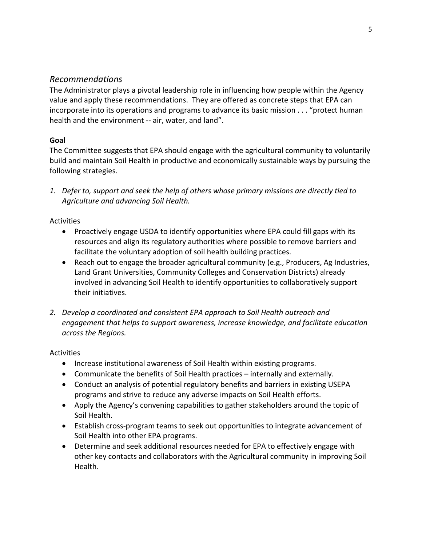### *Recommendations*

The Administrator plays a pivotal leadership role in influencing how people within the Agency value and apply these recommendations. They are offered as concrete steps that EPA can incorporate into its operations and programs to advance its basic mission . . . "protect human health and the environment -- air, water, and land".

### **Goal**

The Committee suggests that EPA should engage with the agricultural community to voluntarily build and maintain Soil Health in productive and economically sustainable ways by pursuing the following strategies.

*1. Defer to, support and seek the help of others whose primary missions are directly tied to Agriculture and advancing Soil Health.*

### Activities

- Proactively engage USDA to identify opportunities where EPA could fill gaps with its resources and align its regulatory authorities where possible to remove barriers and facilitate the voluntary adoption of soil health building practices.
- Reach out to engage the broader agricultural community (e.g., Producers, Ag Industries, Land Grant Universities, Community Colleges and Conservation Districts) already involved in advancing Soil Health to identify opportunities to collaboratively support their initiatives.
- *2. Develop a coordinated and consistent EPA approach to Soil Health outreach and engagement that helps to support awareness, increase knowledge, and facilitate education across the Regions.*

### Activities

- Increase institutional awareness of Soil Health within existing programs.
- Communicate the benefits of Soil Health practices internally and externally.
- Conduct an analysis of potential regulatory benefits and barriers in existing USEPA programs and strive to reduce any adverse impacts on Soil Health efforts.
- Apply the Agency's convening capabilities to gather stakeholders around the topic of Soil Health.
- Establish cross-program teams to seek out opportunities to integrate advancement of Soil Health into other EPA programs.
- Determine and seek additional resources needed for EPA to effectively engage with other key contacts and collaborators with the Agricultural community in improving Soil Health.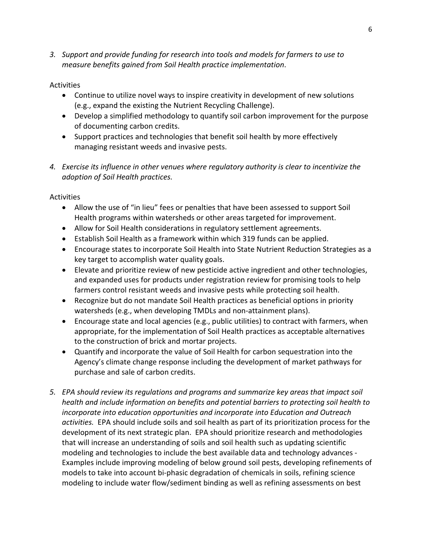*3. Support and provide funding for research into tools and models for farmers to use to measure benefits gained from Soil Health practice implementation*.

### **Activities**

- Continue to utilize novel ways to inspire creativity in development of new solutions (e.g., expand the existing the Nutrient Recycling Challenge).
- Develop a simplified methodology to quantify soil carbon improvement for the purpose of documenting carbon credits.
- Support practices and technologies that benefit soil health by more effectively managing resistant weeds and invasive pests.
- *4. Exercise its influence in other venues where regulatory authority is clear to incentivize the adoption of Soil Health practices.*

Activities

- Allow the use of "in lieu" fees or penalties that have been assessed to support Soil Health programs within watersheds or other areas targeted for improvement.
- Allow for Soil Health considerations in regulatory settlement agreements.
- Establish Soil Health as a framework within which 319 funds can be applied.
- Encourage states to incorporate Soil Health into State Nutrient Reduction Strategies as a key target to accomplish water quality goals.
- Elevate and prioritize review of new pesticide active ingredient and other technologies, and expanded uses for products under registration review for promising tools to help farmers control resistant weeds and invasive pests while protecting soil health.
- Recognize but do not mandate Soil Health practices as beneficial options in priority watersheds (e.g., when developing TMDLs and non-attainment plans).
- Encourage state and local agencies (e.g., public utilities) to contract with farmers, when appropriate, for the implementation of Soil Health practices as acceptable alternatives to the construction of brick and mortar projects.
- Quantify and incorporate the value of Soil Health for carbon sequestration into the Agency's climate change response including the development of market pathways for purchase and sale of carbon credits.
- *5. EPA should review its regulations and programs and summarize key areas that impact soil health and include information on benefits and potential barriers to protecting soil health to incorporate into education opportunities and incorporate into Education and Outreach activities.* EPA should include soils and soil health as part of its prioritization process for the development of its next strategic plan. EPA should prioritize research and methodologies that will increase an understanding of soils and soil health such as updating scientific modeling and technologies to include the best available data and technology advances - Examples include improving modeling of below ground soil pests, developing refinements of models to take into account bi-phasic degradation of chemicals in soils, refining science modeling to include water flow/sediment binding as well as refining assessments on best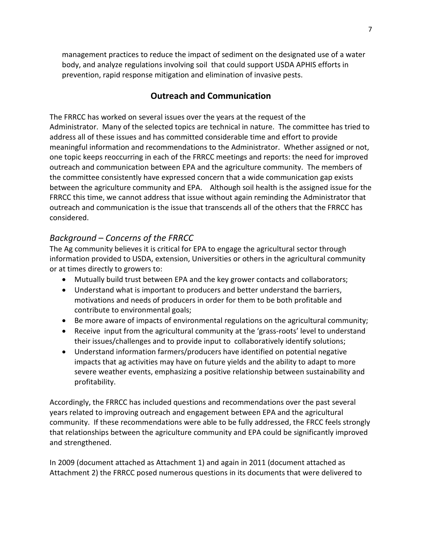management practices to reduce the impact of sediment on the designated use of a water body, and analyze regulations involving soil that could support USDA APHIS efforts in prevention, rapid response mitigation and elimination of invasive pests.

# **Outreach and Communication**

The FRRCC has worked on several issues over the years at the request of the Administrator. Many of the selected topics are technical in nature. The committee has tried to address all of these issues and has committed considerable time and effort to provide meaningful information and recommendations to the Administrator. Whether assigned or not, one topic keeps reoccurring in each of the FRRCC meetings and reports: the need for improved outreach and communication between EPA and the agriculture community. The members of the committee consistently have expressed concern that a wide communication gap exists between the agriculture community and EPA. Although soil health is the assigned issue for the FRRCC this time, we cannot address that issue without again reminding the Administrator that outreach and communication is the issue that transcends all of the others that the FRRCC has considered.

## *Background – Concerns of the FRRCC*

The Ag community believes it is critical for EPA to engage the agricultural sector through information provided to USDA, extension, Universities or others in the agricultural community or at times directly to growers to:

- Mutually build trust between EPA and the key grower contacts and collaborators;
- Understand what is important to producers and better understand the barriers, motivations and needs of producers in order for them to be both profitable and contribute to environmental goals;
- Be more aware of impacts of environmental regulations on the agricultural community;
- Receive input from the agricultural community at the 'grass-roots' level to understand their issues/challenges and to provide input to collaboratively identify solutions;
- Understand information farmers/producers have identified on potential negative impacts that ag activities may have on future yields and the ability to adapt to more severe weather events, emphasizing a positive relationship between sustainability and profitability.

Accordingly, the FRRCC has included questions and recommendations over the past several years related to improving outreach and engagement between EPA and the agricultural community. If these recommendations were able to be fully addressed, the FRCC feels strongly that relationships between the agriculture community and EPA could be significantly improved and strengthened.

In 2009 (document attached as Attachment 1) and again in 2011 (document attached as Attachment 2) the FRRCC posed numerous questions in its documents that were delivered to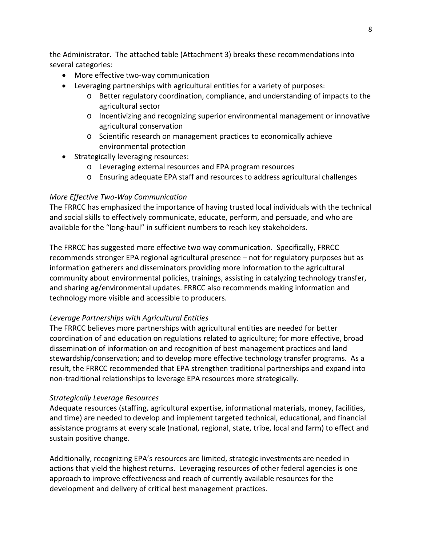the Administrator. The attached table (Attachment 3) breaks these recommendations into several categories:

- More effective two-way communication
- Leveraging partnerships with agricultural entities for a variety of purposes:
	- o Better regulatory coordination, compliance, and understanding of impacts to the agricultural sector
	- o Incentivizing and recognizing superior environmental management or innovative agricultural conservation
	- o Scientific research on management practices to economically achieve environmental protection
- Strategically leveraging resources:
	- o Leveraging external resources and EPA program resources
	- o Ensuring adequate EPA staff and resources to address agricultural challenges

### *More Effective Two-Way Communication*

The FRRCC has emphasized the importance of having trusted local individuals with the technical and social skills to effectively communicate, educate, perform, and persuade, and who are available for the "long-haul" in sufficient numbers to reach key stakeholders.

The FRRCC has suggested more effective two way communication. Specifically, FRRCC recommends stronger EPA regional agricultural presence – not for regulatory purposes but as information gatherers and disseminators providing more information to the agricultural community about environmental policies, trainings, assisting in catalyzing technology transfer, and sharing ag/environmental updates. FRRCC also recommends making information and technology more visible and accessible to producers.

### *Leverage Partnerships with Agricultural Entities*

The FRRCC believes more partnerships with agricultural entities are needed for better coordination of and education on regulations related to agriculture; for more effective, broad dissemination of information on and recognition of best management practices and land stewardship/conservation; and to develop more effective technology transfer programs. As a result, the FRRCC recommended that EPA strengthen traditional partnerships and expand into non-traditional relationships to leverage EPA resources more strategically.

### *Strategically Leverage Resources*

Adequate resources (staffing, agricultural expertise, informational materials, money, facilities, and time) are needed to develop and implement targeted technical, educational, and financial assistance programs at every scale (national, regional, state, tribe, local and farm) to effect and sustain positive change.

Additionally, recognizing EPA's resources are limited, strategic investments are needed in actions that yield the highest returns. Leveraging resources of other federal agencies is one approach to improve effectiveness and reach of currently available resources for the development and delivery of critical best management practices.